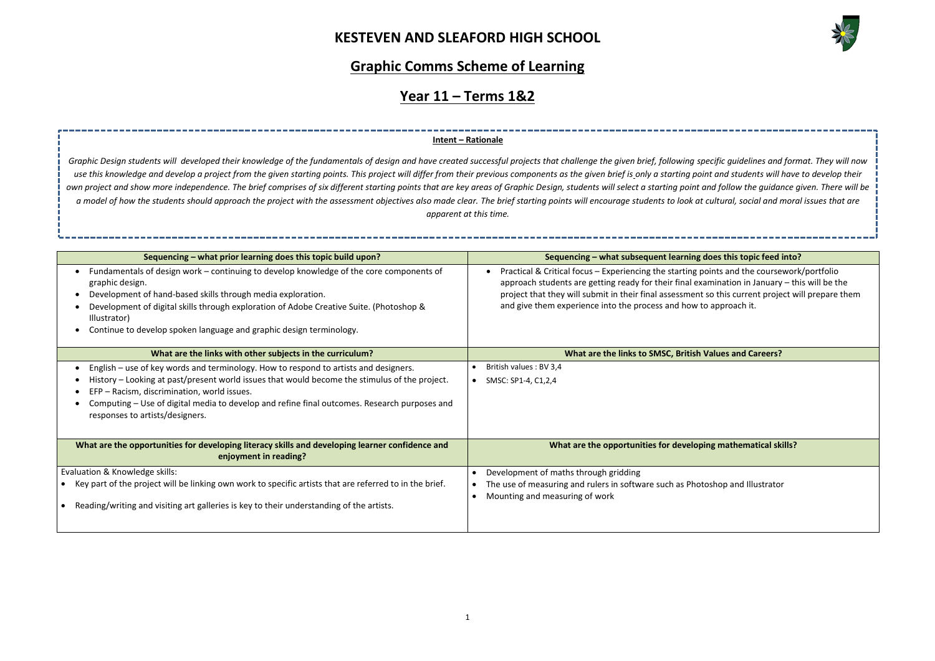

## **Graphic Comms Scheme of Learning**

## **Year 11 – Terms 1&2**

#### **Sequencing – what prior learning does this topic build upon? Sequencing – what subsequent learning does this topic feed into?**

oints and the coursework/portfolio amination in January – this will be the so this current project will prepare them o approach it.

#### **Walues and Careers?**

**ng mathematical skills?** 

oshop and Illustrator

| Sequencing – what prior learning does this topic build upon?                                                                                                                                                                                                                                                                                                | Sequencing - what subsequent learning of                                                                                                                                                                                                |
|-------------------------------------------------------------------------------------------------------------------------------------------------------------------------------------------------------------------------------------------------------------------------------------------------------------------------------------------------------------|-----------------------------------------------------------------------------------------------------------------------------------------------------------------------------------------------------------------------------------------|
| Fundamentals of design work - continuing to develop knowledge of the core components of<br>graphic design.<br>Development of hand-based skills through media exploration.<br>Development of digital skills through exploration of Adobe Creative Suite. (Photoshop &<br>Illustrator)<br>Continue to develop spoken language and graphic design terminology. | Practical & Critical focus - Experiencing the starting po<br>approach students are getting ready for their final exa<br>project that they will submit in their final assessment<br>and give them experience into the process and how to |
| What are the links with other subjects in the curriculum?                                                                                                                                                                                                                                                                                                   | What are the links to SMSC, British \                                                                                                                                                                                                   |
| English – use of key words and terminology. How to respond to artists and designers.                                                                                                                                                                                                                                                                        | British values : BV 3,4                                                                                                                                                                                                                 |
| History - Looking at past/present world issues that would become the stimulus of the project.<br>EFP - Racism, discrimination, world issues.<br>Computing – Use of digital media to develop and refine final outcomes. Research purposes and<br>responses to artists/designers.                                                                             | SMSC: SP1-4, C1,2,4<br>$\bullet$                                                                                                                                                                                                        |
| What are the opportunities for developing literacy skills and developing learner confidence and<br>enjoyment in reading?                                                                                                                                                                                                                                    | What are the opportunities for developi                                                                                                                                                                                                 |
| Evaluation & Knowledge skills:                                                                                                                                                                                                                                                                                                                              | Development of maths through gridding<br>$\bullet$                                                                                                                                                                                      |
| Key part of the project will be linking own work to specific artists that are referred to in the brief.<br>Reading/writing and visiting art galleries is key to their understanding of the artists.                                                                                                                                                         | The use of measuring and rulers in software such as Photo<br>Mounting and measuring of work                                                                                                                                             |
|                                                                                                                                                                                                                                                                                                                                                             |                                                                                                                                                                                                                                         |

#### **Intent – Rationale**

*Graphic Design students will developed their knowledge of the fundamentals of design and have created successful projects that challenge the given brief, following specific guidelines and format. They will now*  use this knowledge and develop a project from the given starting points. This project will differ from their previous components as the given brief is only a starting point and students will have to develop their *own project and show more independence. The brief comprises of six different starting points that are key areas of Graphic Design, students will select a starting point and follow the guidance given. There will be a model of how the students should approach the project with the assessment objectives also made clear. The brief starting points will encourage students to look at cultural, social and moral issues that are apparent at this time.*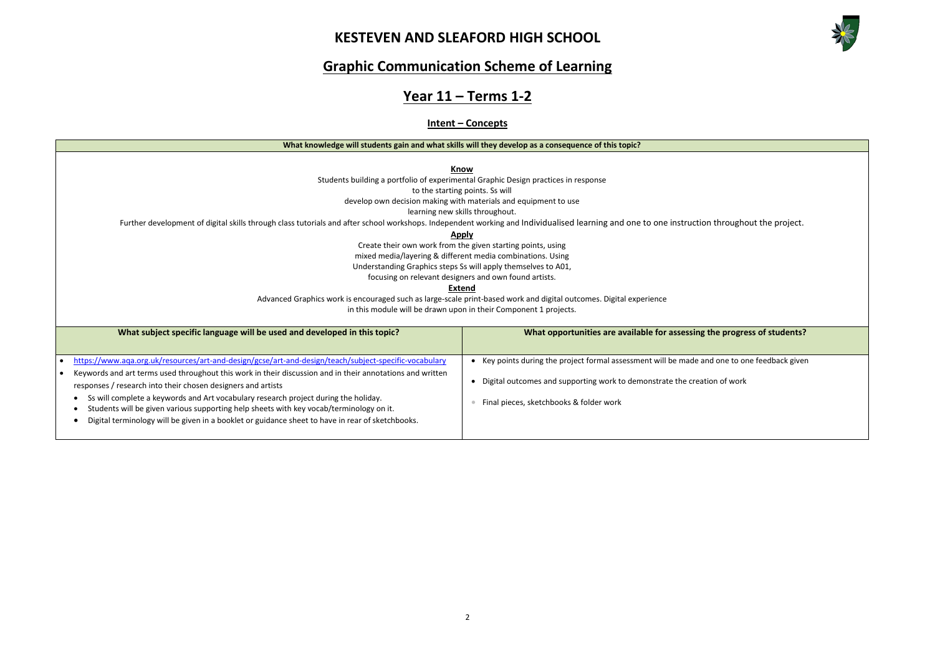

**he progress of students?** d one to one feedback given on of work

## **Graphic Communication Scheme of Learning**

# **Year 11 – Terms 1-2**

#### **Intent – Concepts**

| What knowledge will students gain and what skills will they develop as a consequence of this topic? |  |
|-----------------------------------------------------------------------------------------------------|--|
|-----------------------------------------------------------------------------------------------------|--|

**Know**

Students building a portfolio of experimental Graphic Design practices in response

to the starting points. Ss will

develop own decision making with materials and equipment to use

learning new skills throughout.

Further development of digital skills through class tutorials and after school workshops. Independent working and Individualised learning and one to one instruction throughout the project.

#### **Apply**

Create their own work from the given starting points, using mixed media/layering & different media combinations. Using Understanding Graphics steps Ss will apply themselves to A01, focusing on relevant designers and own found artists.

**Extend**

Advanced Graphics work is encouraged such as large-scale print-based work and digital outcomes. Digital experience

in this module will be drawn upon in their Component 1 projects.

| What subject specific language will be used and developed in this topic?                                                                                                                                                                                                                                                                                                                                                                                        | What opportunities are available for assessing the                                                          |
|-----------------------------------------------------------------------------------------------------------------------------------------------------------------------------------------------------------------------------------------------------------------------------------------------------------------------------------------------------------------------------------------------------------------------------------------------------------------|-------------------------------------------------------------------------------------------------------------|
|                                                                                                                                                                                                                                                                                                                                                                                                                                                                 |                                                                                                             |
| https://www.aqa.org.uk/resources/art-and-design/gcse/art-and-design/teach/subject-specific-vocabulary                                                                                                                                                                                                                                                                                                                                                           | Key points during the project formal assessment will be made and                                            |
| Keywords and art terms used throughout this work in their discussion and in their annotations and written<br>responses / research into their chosen designers and artists<br>Ss will complete a keywords and Art vocabulary research project during the holiday.<br>Students will be given various supporting help sheets with key vocab/terminology on it.<br>Digital terminology will be given in a booklet or guidance sheet to have in rear of sketchbooks. | Digital outcomes and supporting work to demonstrate the creation<br>Final pieces, sketchbooks & folder work |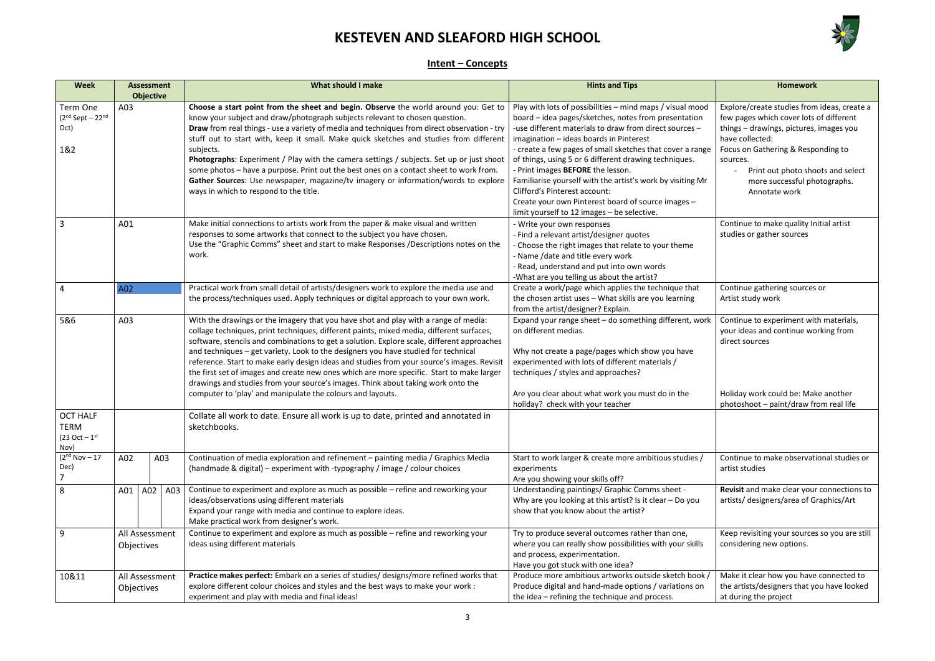

### **Intent – Concepts**

| <b>Week</b>                                                    | <b>Assessment</b><br><b>Objective</b> |     | <b>What should I make</b>                                                                                                                                                                                                                                                                                                                                                                                                                                                                                                                                                                                                                                                                                        | <b>Hints and Tips</b>                                                                                                                                                                                                                                                                                                                                                                                                                                                                                                                                                                        | <b>Homework</b>                                                                                                                                                                                                                                                                              |
|----------------------------------------------------------------|---------------------------------------|-----|------------------------------------------------------------------------------------------------------------------------------------------------------------------------------------------------------------------------------------------------------------------------------------------------------------------------------------------------------------------------------------------------------------------------------------------------------------------------------------------------------------------------------------------------------------------------------------------------------------------------------------------------------------------------------------------------------------------|----------------------------------------------------------------------------------------------------------------------------------------------------------------------------------------------------------------------------------------------------------------------------------------------------------------------------------------------------------------------------------------------------------------------------------------------------------------------------------------------------------------------------------------------------------------------------------------------|----------------------------------------------------------------------------------------------------------------------------------------------------------------------------------------------------------------------------------------------------------------------------------------------|
| Term One<br>$(2nd Sept - 22nd)$<br>Oct)<br>1&2                 | A03                                   |     | Choose a start point from the sheet and begin. Observe the world around you: Get to<br>know your subject and draw/photograph subjects relevant to chosen question.<br>Draw from real things - use a variety of media and techniques from direct observation - try<br>stuff out to start with, keep it small. Make quick sketches and studies from different<br>subjects.<br>Photographs: Experiment / Play with the camera settings / subjects. Set up or just shoot<br>some photos - have a purpose. Print out the best ones on a contact sheet to work from.<br>Gather Sources: Use newspaper, magazine/tv imagery or information/words to explore<br>ways in which to respond to the title.                   | Play with lots of possibilities - mind maps / visual mood<br>board - idea pages/sketches, notes from presentation<br>-use different materials to draw from direct sources -<br>imagination - ideas boards in Pinterest<br>- create a few pages of small sketches that cover a range<br>of things, using 5 or 6 different drawing techniques.<br>- Print images BEFORE the lesson.<br>Familiarise yourself with the artist's work by visiting Mr<br><b>Clifford's Pinterest account:</b><br>Create your own Pinterest board of source images -<br>limit yourself to 12 images - be selective. | Explore/create studies from ideas, create a<br>few pages which cover lots of different<br>things - drawings, pictures, images you<br>have collected:<br>Focus on Gathering & Responding to<br>sources.<br>Print out photo shoots and select<br>more successful photographs.<br>Annotate work |
| 3<br>A01<br>work.                                              |                                       |     | Make initial connections to artists work from the paper & make visual and written<br>responses to some artworks that connect to the subject you have chosen.<br>Use the "Graphic Comms" sheet and start to make Responses /Descriptions notes on the                                                                                                                                                                                                                                                                                                                                                                                                                                                             | - Write your own responses<br>- Find a relevant artist/designer quotes<br>- Choose the right images that relate to your theme<br>- Name /date and title every work<br>- Read, understand and put into own words<br>-What are you telling us about the artist?                                                                                                                                                                                                                                                                                                                                | Continue to make quality Initial artist<br>studies or gather sources                                                                                                                                                                                                                         |
| 4                                                              | A02                                   |     | Practical work from small detail of artists/designers work to explore the media use and<br>the process/techniques used. Apply techniques or digital approach to your own work.                                                                                                                                                                                                                                                                                                                                                                                                                                                                                                                                   | Create a work/page which applies the technique that<br>the chosen artist uses - What skills are you learning<br>from the artist/designer? Explain.                                                                                                                                                                                                                                                                                                                                                                                                                                           | Continue gathering sources or<br>Artist study work                                                                                                                                                                                                                                           |
| 5&6<br>A03                                                     |                                       |     | With the drawings or the imagery that you have shot and play with a range of media:<br>collage techniques, print techniques, different paints, mixed media, different surfaces,<br>software, stencils and combinations to get a solution. Explore scale, different approaches<br>and techniques - get variety. Look to the designers you have studied for technical<br>reference. Start to make early design ideas and studies from your source's images. Revisit<br>the first set of images and create new ones which are more specific. Start to make larger<br>drawings and studies from your source's images. Think about taking work onto the<br>computer to 'play' and manipulate the colours and layouts. | Expand your range sheet - do something different, work<br>on different medias.<br>Why not create a page/pages which show you have<br>experimented with lots of different materials /<br>techniques / styles and approaches?<br>Are you clear about what work you must do in the<br>holiday? check with your teacher                                                                                                                                                                                                                                                                          | Continue to experiment with materials,<br>your ideas and continue working from<br>direct sources<br>Holiday work could be: Make another<br>photoshoot - paint/draw from real life                                                                                                            |
| <b>OCT HALF</b><br>TERM<br>(23 Oct – 1 <sup>st</sup> )<br>Nov) |                                       |     | Collate all work to date. Ensure all work is up to date, printed and annotated in<br>sketchbooks.                                                                                                                                                                                                                                                                                                                                                                                                                                                                                                                                                                                                                |                                                                                                                                                                                                                                                                                                                                                                                                                                                                                                                                                                                              |                                                                                                                                                                                                                                                                                              |
| $(2nd Nov - 17)$<br>Dec)                                       | A02<br>A03                            |     | Continuation of media exploration and refinement - painting media / Graphics Media<br>(handmade & digital) – experiment with -typography / image / colour choices                                                                                                                                                                                                                                                                                                                                                                                                                                                                                                                                                | Start to work larger & create more ambitious studies /<br>experiments<br>Are you showing your skills off?                                                                                                                                                                                                                                                                                                                                                                                                                                                                                    | Continue to make observational studies or<br>artist studies                                                                                                                                                                                                                                  |
| 8                                                              | A01<br>A02                            | A03 | Continue to experiment and explore as much as possible - refine and reworking your<br>ideas/observations using different materials<br>Expand your range with media and continue to explore ideas.<br>Make practical work from designer's work.                                                                                                                                                                                                                                                                                                                                                                                                                                                                   | Understanding paintings/ Graphic Comms sheet -<br>Why are you looking at this artist? Is it clear $-$ Do you<br>show that you know about the artist?                                                                                                                                                                                                                                                                                                                                                                                                                                         | Revisit and make clear your connections to<br>artists/ designers/area of Graphics/Art                                                                                                                                                                                                        |
| 9                                                              | All Assessment<br>Objectives          |     | Continue to experiment and explore as much as possible - refine and reworking your<br>ideas using different materials                                                                                                                                                                                                                                                                                                                                                                                                                                                                                                                                                                                            | Try to produce several outcomes rather than one,<br>where you can really show possibilities with your skills<br>and process, experimentation.<br>Have you got stuck with one idea?                                                                                                                                                                                                                                                                                                                                                                                                           | Keep revisiting your sources so you are still<br>considering new options.                                                                                                                                                                                                                    |
| 10&11                                                          | All Assessment<br>Objectives          |     | Practice makes perfect: Embark on a series of studies/ designs/more refined works that<br>explore different colour choices and styles and the best ways to make your work :<br>experiment and play with media and final ideas!                                                                                                                                                                                                                                                                                                                                                                                                                                                                                   | Produce more ambitious artworks outside sketch book /<br>Produce digital and hand-made options / variations on<br>the idea - refining the technique and process.                                                                                                                                                                                                                                                                                                                                                                                                                             | Make it clear how you have connected to<br>the artists/designers that you have looked<br>at during the project                                                                                                                                                                               |